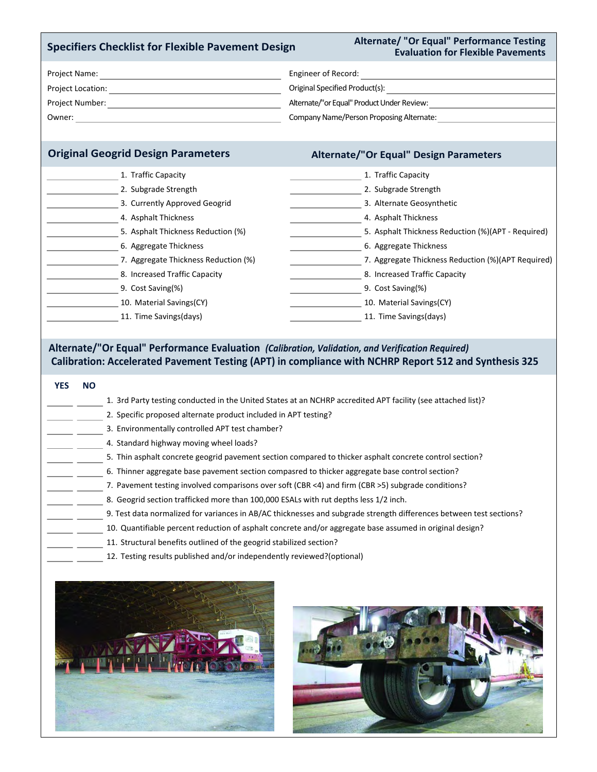### **Specifiers Checklist for Flexible Pavement Design**

### **Alternate/ "Or Equal" Performance Testing Evaluation for Flexible Pavements**

| Project Name:     | Engineer of Record:                        |
|-------------------|--------------------------------------------|
| Project Location: | Original Specified Product(s):             |
| Project Number:   | Alternate/"or Equal" Product Under Review: |
| Owner:            | Company Name/Person Proposing Alternate:   |

## **Original Geogrid Design Parameters Alternate/"Or Equal" Design Parameters**

| 1. Traffic Capacity                                |
|----------------------------------------------------|
| 2. Subgrade Strength                               |
| 3. Alternate Geosynthetic                          |
| 4. Asphalt Thickness                               |
| 5. Asphalt Thickness Reduction (%)(APT - Required) |
| 6. Aggregate Thickness                             |
| 7. Aggregate Thickness Reduction (%)(APT Required) |
| 8. Increased Traffic Capacity                      |
| 9. Cost Saving(%)                                  |
| 10. Material Savings(CY)                           |
| 11. Time Savings(days)                             |
|                                                    |

### **Alternate/"Or Equal" Performance Evaluation** *(Calibration, Validation, and Verification Required)* **Calibration: Accelerated Pavement Testing (APT) in compliance with NCHRP Report 512 and Synthesis 325**

# 1. 3rd Party testing conducted in the United States at an NCHRP accredited APT facility (see attached list)? 2. Specific proposed alternate product included in APT testing? 3. Environmentally controlled APT test chamber? 4. Standard highway moving wheel loads? 5. Thin asphalt concrete geogrid pavement section compared to thicker asphalt concrete control section? 6. Thinner aggregate base pavement section compasred to thicker aggregate base control section? 7. Pavement testing involved comparisons over soft (CBR <4) and firm (CBR >5) subgrade conditions? 8. Geogrid section trafficked more than 100,000 ESALs with rut depths less 1/2 inch. 10. Quantifiable percent reduction of asphalt concrete and/or aggregate base assumed in original design? 11. Structural benefits outlined of the geogrid stabilized section? 12. Testing results published and/or independently reviewed?(optional) 9. Test data normalized for variances in AB/AC thicknesses and subgrade strength differences between test sections?  **YES NO**